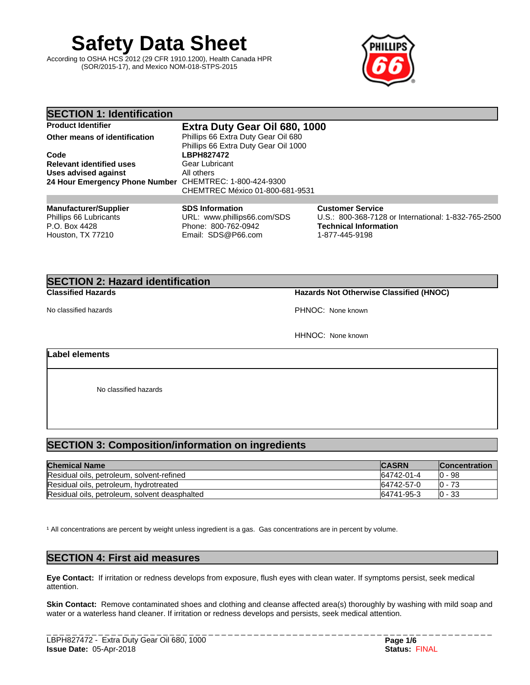**Safety Data Sheet**

According to OSHA HCS 2012 (29 CFR 1910.1200), Health Canada HPR (SOR/2015-17), and Mexico NOM-018-STPS-2015



| <b>SECTION 1: Identification</b>                                                             |                                                                                                    |                                                                                                                                  |
|----------------------------------------------------------------------------------------------|----------------------------------------------------------------------------------------------------|----------------------------------------------------------------------------------------------------------------------------------|
| <b>Product Identifier</b>                                                                    | Extra Duty Gear Oil 680, 1000                                                                      |                                                                                                                                  |
| Other means of identification                                                                | Phillips 66 Extra Duty Gear Oil 680<br>Phillips 66 Extra Duty Gear Oil 1000                        |                                                                                                                                  |
| Code                                                                                         | <b>LBPH827472</b>                                                                                  |                                                                                                                                  |
| <b>Relevant identified uses</b>                                                              | Gear Lubricant                                                                                     |                                                                                                                                  |
| Uses advised against<br>24 Hour Emergency Phone Number CHEMTREC: 1-800-424-9300              | All others<br>CHEMTREC México 01-800-681-9531                                                      |                                                                                                                                  |
|                                                                                              |                                                                                                    |                                                                                                                                  |
| <b>Manufacturer/Supplier</b><br>Phillips 66 Lubricants<br>P.O. Box 4428<br>Houston, TX 77210 | <b>SDS Information</b><br>URL: www.phillips66.com/SDS<br>Phone: 800-762-0942<br>Email: SDS@P66.com | <b>Customer Service</b><br>U.S.: 800-368-7128 or International: 1-832-765-2500<br><b>Technical Information</b><br>1-877-445-9198 |

## **SECTION 2: Hazard identification**

### **Classified Hazards Hazards Not Otherwise Classified (HNOC)**

No classified hazards **PHNOC:** None known

HHNOC: None known

### **Label elements**

No classified hazards

### **SECTION 3: Composition/information on ingredients**

| <b>Chemical Name</b>                          | <b>CASRN</b> | <b>Concentration</b> |
|-----------------------------------------------|--------------|----------------------|
| Residual oils, petroleum, solvent-refined     | 64742-01-4   | .0 - 98              |
| Residual oils, petroleum, hydrotreated        | 64742-57-0   | 73<br>IO -           |
| Residual oils, petroleum, solvent deasphalted | 64741-95-3   | IO - 33              |

<sup>1</sup> All concentrations are percent by weight unless ingredient is a gas. Gas concentrations are in percent by volume.

## **SECTION 4: First aid measures**

**Eye Contact:** Ifirritation or redness develops from exposure, flush eyes with clean water. If symptoms persist, seek medical attention.

**Skin Contact:** Remove contaminated shoes and clothing and cleanse affected area(s) thoroughly by washing with mild soap and water or a waterless hand cleaner. If irritation or redness develops and persists, seek medical attention.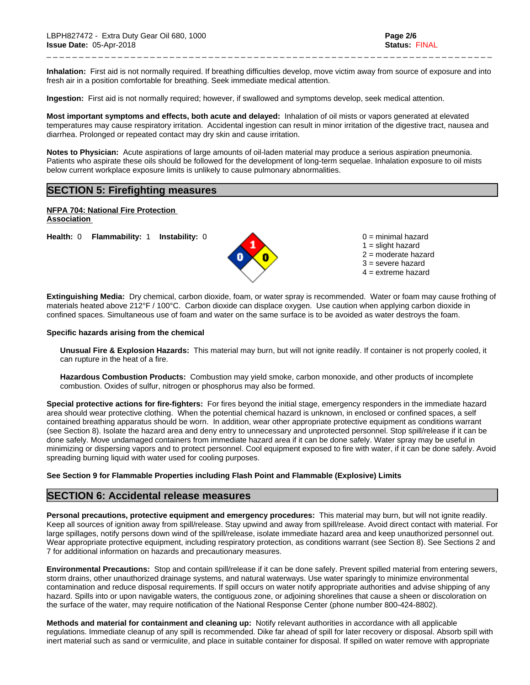Inhalation: First aid is not normally required. If breathing difficulties develop, move victim away from source of exposure and into fresh air in a position comfortable for breathing. Seek immediate medical attention.

\_ \_ \_ \_ \_ \_ \_ \_ \_ \_ \_ \_ \_ \_ \_ \_ \_ \_ \_ \_ \_ \_ \_ \_ \_ \_ \_ \_ \_ \_ \_ \_ \_ \_ \_ \_ \_ \_ \_ \_ \_ \_ \_ \_ \_ \_ \_ \_ \_ \_ \_ \_ \_ \_ \_ \_ \_ \_ \_ \_ \_ \_ \_ \_ \_ \_ \_ \_ \_

**Ingestion:** First aid is not normally required; however, if swallowed and symptoms develop, seek medical attention.

**Most important symptoms and effects, both acute and delayed:** Inhalation of oil mists or vapors generated at elevated temperatures may cause respiratory irritation. Accidental ingestion can result in minor irritation of the digestive tract, nausea and diarrhea. Prolonged or repeated contact may dry skin and cause irritation.

**Notes to Physician:**Acute aspirations of large amounts of oil-laden material may produce a serious aspiration pneumonia. Patients who aspirate these oils should be followed for the development of long-term sequelae. Inhalation exposure to oil mists below current workplace exposure limits is unlikely to cause pulmonary abnormalities.

### **SECTION 5: Firefighting measures**

**NFPA 704: National Fire Protection Association** 

**Health:** 0 **Flammability:** 1 **Instability:** 0 0 = minimal hazard



 $1 =$  slight hazard 2 = moderate hazard 3 = severe hazard  $4 =$  extreme hazard

**Extinguishing Media:** Dry chemical, carbon dioxide, foam, or water spray is recommended. Water or foam may cause frothing of materials heated above 212°F / 100°C. Carbon dioxide can displace oxygen. Use caution when applying carbon dioxide in confined spaces. Simultaneous use of foam and water on the same surface is to be avoided as water destroys the foam.

#### **Specific hazards arising from the chemical**

**Unusual Fire & Explosion Hazards:** This material may burn, butwill not ignite readily. If container is not properly cooled, it can rupture in the heat of a fire.

**Hazardous Combustion Products:** Combustion may yield smoke, carbon monoxide, and other products of incomplete combustion. Oxides of sulfur, nitrogen or phosphorus may also be formed.

**Special protective actions for fire-fighters:** For fires beyond the initial stage, emergency responders in the immediate hazard area should wear protective clothing. When the potential chemical hazard is unknown, in enclosed or confined spaces, a self contained breathing apparatus should be worn. In addition, wear other appropriate protective equipment as conditions warrant (see Section 8). Isolate the hazard area and deny entry to unnecessary and unprotected personnel. Stop spill/release if it can be done safely. Move undamaged containers from immediate hazard area if it can be done safely. Water spray may be useful in minimizing or dispersing vapors and to protect personnel. Cool equipment exposed to fire with water, if it can be done safely. Avoid spreading burning liquid with water used for cooling purposes.

#### **See Section 9 for Flammable Properties including Flash Point and Flammable (Explosive) Limits**

#### **SECTION 6: Accidental release measures**

**Personal precautions, protective equipment and emergency procedures:** This material may burn, butwill not ignite readily. Keep all sources of ignition away from spill/release. Stay upwind and away from spill/release. Avoid direct contact with material. For large spillages, notify persons down wind of the spill/release, isolate immediate hazard area and keep unauthorized personnel out. Wear appropriate protective equipment, including respiratory protection, as conditions warrant (see Section 8). See Sections 2 and 7 for additional information on hazards and precautionary measures.

**Environmental Precautions:** Stop and contain spill/release if it can be done safely. Prevent spilled material from entering sewers, storm drains, other unauthorized drainage systems, and natural waterways. Use water sparingly to minimize environmental contamination and reduce disposal requirements. If spill occurs on water notify appropriate authorities and advise shipping of any hazard. Spills into or upon navigable waters, the contiguous zone, or adjoining shorelines that cause a sheen or discoloration on the surface of the water, may require notification of the National Response Center (phone number 800-424-8802).

**Methods and material for containment and cleaning up:** Notify relevant authorities in accordance with all applicable regulations. Immediate cleanup of any spill is recommended. Dike far ahead of spill for later recovery or disposal. Absorb spill with inert material such as sand or vermiculite, and place in suitable container for disposal. If spilled on water remove with appropriate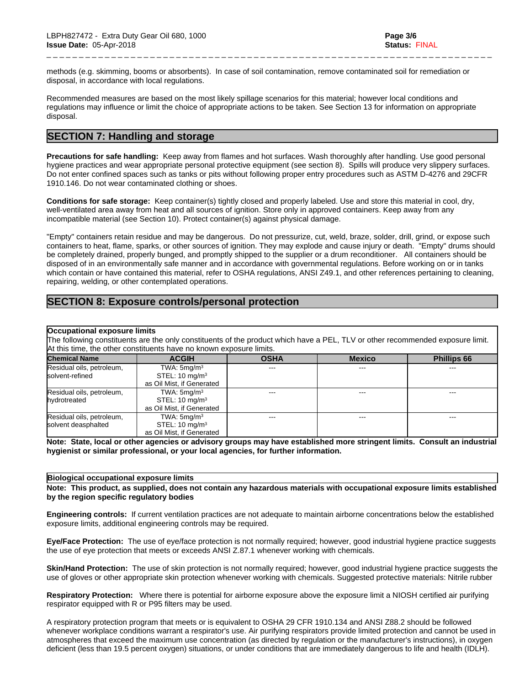methods (e.g. skimming, booms or absorbents). In case of soil contamination, remove contaminated soil for remediation or disposal, in accordance with local regulations.

\_ \_ \_ \_ \_ \_ \_ \_ \_ \_ \_ \_ \_ \_ \_ \_ \_ \_ \_ \_ \_ \_ \_ \_ \_ \_ \_ \_ \_ \_ \_ \_ \_ \_ \_ \_ \_ \_ \_ \_ \_ \_ \_ \_ \_ \_ \_ \_ \_ \_ \_ \_ \_ \_ \_ \_ \_ \_ \_ \_ \_ \_ \_ \_ \_ \_ \_ \_ \_

Recommended measures are based on the most likely spillage scenarios for this material; however local conditions and regulations may influence or limit the choice of appropriate actions to be taken. See Section 13 for information on appropriate disposal.

### **SECTION 7: Handling and storage**

**Precautions for safe handling:** Keep away from flames and hot surfaces. Wash thoroughly after handling. Use good personal hygiene practices and wear appropriate personal protective equipment (see section 8). Spills will produce very slippery surfaces. Do not enter confined spaces such as tanks or pits without following proper entry procedures such as ASTM D-4276 and 29CFR 1910.146. Do not wear contaminated clothing or shoes.

**Conditions for safe storage:**Keep container(s) tightly closed and properly labeled. Use and store this material in cool, dry, well-ventilated area away from heat and all sources of ignition. Store only in approved containers. Keep away from any incompatible material (see Section 10). Protect container(s) against physical damage.

"Empty" containers retain residue and may be dangerous. Do not pressurize, cut, weld, braze, solder, drill, grind, or expose such containers to heat, flame, sparks, or other sources of ignition. They may explode and cause injury or death."Empty" drums should be completely drained, properly bunged, and promptly shipped to the supplier or a drum reconditioner. All containers should be disposed of in an environmentally safe manner and in accordance with governmental regulations. Before working on or in tanks which contain or have contained this material, refer to OSHA regulations, ANSI Z49.1, and other references pertaining to cleaning, repairing, welding, or other contemplated operations.

### **SECTION 8: Exposure controls/personal protection**

#### **Occupational exposure limits**

The following constituents are the only constituents of the product which have a PEL, TLV or other recommended exposure limit. At this time, the other constituents have no known exposure limits.

| <b>Chemical Name</b>      | <b>ACGIH</b>              | <b>OSHA</b> | <b>Mexico</b>          | <b>Phillips 66</b> |
|---------------------------|---------------------------|-------------|------------------------|--------------------|
| Residual oils, petroleum, | TWA: $5 \text{mq/m}^3$    | ---         | $\qquad \qquad \cdots$ | ---                |
| solvent-refined           | STEL: $10 \text{ mg/m}^3$ |             |                        |                    |
|                           | as Oil Mist, if Generated |             |                        |                    |
| Residual oils, petroleum, | TWA: $5 \text{mq/m}^3$    | ---         | $- - -$                | ---                |
| hydrotreated              | STEL: $10 \text{ mg/m}^3$ |             |                        |                    |
|                           | as Oil Mist, if Generated |             |                        |                    |
| Residual oils, petroleum, | TWA: $5 \text{mq/m}^3$    | $---$       | $- - -$                | $- - -$            |
| solvent deasphalted       | STEL: $10 \text{ mg/m}^3$ |             |                        |                    |
|                           | as Oil Mist, if Generated |             |                        |                    |

Note: State, local or other agencies or advisory groups may have established more stringent limits. Consult an industrial **hygienist or similar professional, or your local agencies, for further information.**

#### **Biological occupational exposure limits**

Note: This product, as supplied, does not contain any hazardous materials with occupational exposure limits established **by the region specific regulatory bodies**

**Engineering controls:** If current ventilation practices are not adequate to maintain airborne concentrations below the established exposure limits, additional engineering controls may be required.

**Eye/Face Protection:** The use of eye/face protection is not normally required; however, good industrial hygiene practice suggests the use of eye protection that meets or exceeds ANSI Z.87.1 whenever working with chemicals.

**Skin/Hand Protection:** The use of skin protection is not normally required; however, good industrial hygiene practice suggests the use of gloves or other appropriate skin protection whenever working with chemicals. Suggested protective materials: Nitrile rubber

**Respiratory Protection:** Where there is potential for airborne exposure above the exposure limit a NIOSH certified air purifying respirator equipped with R or P95 filters may be used.

A respiratory protection program that meets or is equivalent to OSHA 29 CFR 1910.134 and ANSI Z88.2 should be followed whenever workplace conditions warrant a respirator's use. Air purifying respirators provide limited protection and cannot be used in atmospheres that exceed the maximum use concentration (as directed by regulation or the manufacturer's instructions), in oxygen deficient (less than 19.5 percent oxygen) situations, or under conditions that are immediately dangerous to life and health (IDLH).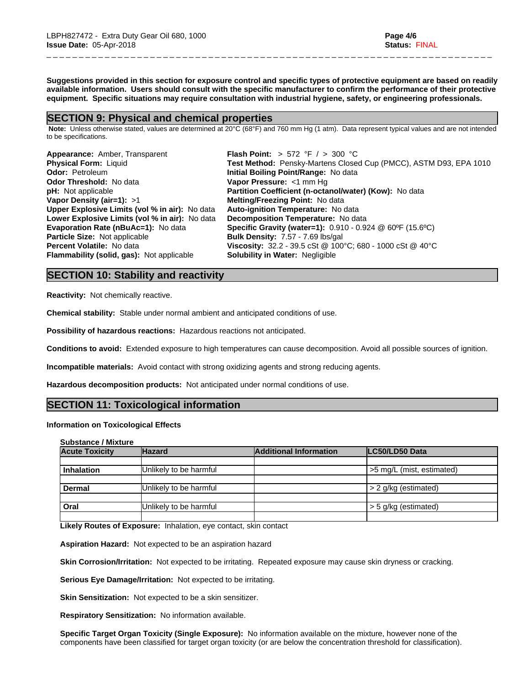Suggestions provided in this section for exposure control and specific types of protective equipment are based on readily available information. Users should consult with the specific manufacturer to confirm the performance of their protective **equipment. Specific situations may require consultation with industrial hygiene, safety, or engineering professionals.**

\_ \_ \_ \_ \_ \_ \_ \_ \_ \_ \_ \_ \_ \_ \_ \_ \_ \_ \_ \_ \_ \_ \_ \_ \_ \_ \_ \_ \_ \_ \_ \_ \_ \_ \_ \_ \_ \_ \_ \_ \_ \_ \_ \_ \_ \_ \_ \_ \_ \_ \_ \_ \_ \_ \_ \_ \_ \_ \_ \_ \_ \_ \_ \_ \_ \_ \_ \_ \_

### **SECTION 9: Physical and chemical properties**

 **Note:** Unless otherwise stated, values are determined at 20°C (68°F) and 760 mm Hg (1 atm). Data represent typical values and are not intended to be specifications.

| Appearance: Amber, Transparent                   | <b>Flash Point:</b> > 572 °F / > 300 °C                           |
|--------------------------------------------------|-------------------------------------------------------------------|
| <b>Physical Form: Liquid</b>                     | Test Method: Pensky-Martens Closed Cup (PMCC), ASTM D93, EPA 1010 |
| <b>Odor: Petroleum</b>                           | Initial Boiling Point/Range: No data                              |
| <b>Odor Threshold: No data</b>                   | Vapor Pressure: <1 mm Hq                                          |
| <b>pH:</b> Not applicable                        | Partition Coefficient (n-octanol/water) (Kow): No data            |
| Vapor Density (air=1): $>1$                      | Melting/Freezing Point: No data                                   |
| Upper Explosive Limits (vol % in air): No data   | Auto-ignition Temperature: No data                                |
| Lower Explosive Limits (vol % in air): No data   | Decomposition Temperature: No data                                |
| <b>Evaporation Rate (nBuAc=1): No data</b>       | <b>Specific Gravity (water=1):</b> 0.910 - 0.924 @ 60°F (15.6°C)  |
| Particle Size: Not applicable                    | <b>Bulk Density: 7.57 - 7.69 lbs/gal</b>                          |
| <b>Percent Volatile: No data</b>                 | Viscosity: 32.2 - 39.5 cSt @ 100°C; 680 - 1000 cSt @ 40°C         |
| <b>Flammability (solid, gas):</b> Not applicable | <b>Solubility in Water: Negligible</b>                            |
|                                                  |                                                                   |

### **SECTION 10: Stability and reactivity**

**Reactivity:** Not chemically reactive.

**Chemical stability:** Stable under normal ambient and anticipated conditions of use.

**Possibility of hazardous reactions:** Hazardous reactions not anticipated.

**Conditions to avoid:** Extended exposure to high temperatures can cause decomposition. Avoid all possible sources of ignition.

**Incompatible materials:** Avoid contact with strong oxidizing agents and strong reducing agents.

**Hazardous decomposition products:** Not anticipated under normal conditions of use.

### **SECTION 11: Toxicological information**

#### **Information on Toxicological Effects**

|  | <b>Substance / Mixture</b> |  |  |
|--|----------------------------|--|--|
|  |                            |  |  |

| <b>Acute Toxicity</b> | <b>Hazard</b>          | <b>Additional Information</b> | <b>ILC50/LD50 Data</b>    |  |
|-----------------------|------------------------|-------------------------------|---------------------------|--|
|                       |                        |                               |                           |  |
| <b>Inhalation</b>     | Unlikely to be harmful |                               | >5 mg/L (mist, estimated) |  |
|                       |                        |                               |                           |  |
| <b>Dermal</b>         | Unlikely to be harmful |                               | $> 2$ g/kg (estimated)    |  |
|                       |                        |                               |                           |  |
| Oral                  | Unlikely to be harmful |                               | > 5 g/kg (estimated)      |  |
|                       |                        |                               |                           |  |

**Likely Routes of Exposure:** Inhalation, eye contact, skin contact

**Aspiration Hazard:** Not expected to be an aspiration hazard

**Skin Corrosion/Irritation:** Not expected to be irritating. Repeated exposure may cause skin dryness or cracking.

**Serious Eye Damage/Irritation:** Not expected to be irritating.

**Skin Sensitization:** Not expected to be a skin sensitizer.

**Respiratory Sensitization:** No information available.

**Specific Target Organ Toxicity (Single Exposure):** No information available on the mixture, however none of the components have been classified for target organ toxicity (or are below the concentration threshold for classification).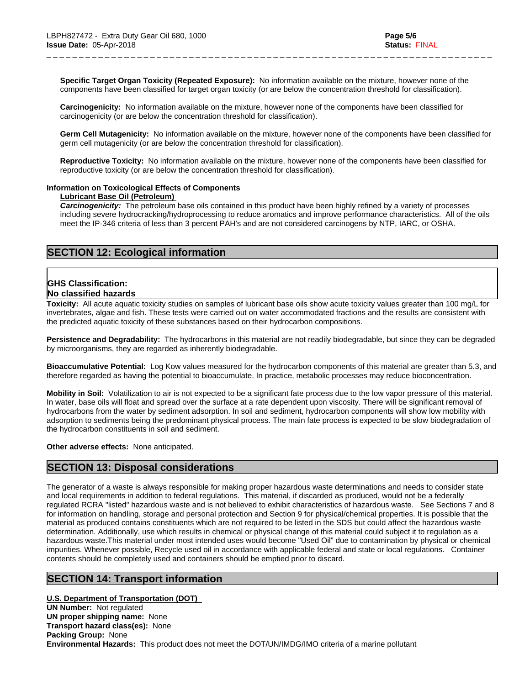**Specific Target Organ Toxicity (Repeated Exposure):** No information available on the mixture, however none of the components have been classified for target organ toxicity (or are below the concentration threshold for classification).

\_ \_ \_ \_ \_ \_ \_ \_ \_ \_ \_ \_ \_ \_ \_ \_ \_ \_ \_ \_ \_ \_ \_ \_ \_ \_ \_ \_ \_ \_ \_ \_ \_ \_ \_ \_ \_ \_ \_ \_ \_ \_ \_ \_ \_ \_ \_ \_ \_ \_ \_ \_ \_ \_ \_ \_ \_ \_ \_ \_ \_ \_ \_ \_ \_ \_ \_ \_ \_

**Carcinogenicity:** No information available on the mixture, however none of the components have been classified for carcinogenicity (or are below the concentration threshold for classification).

**Germ Cell Mutagenicity:** No information available on the mixture, however none of the components have been classified for germ cell mutagenicity (or are below the concentration threshold for classification).

**Reproductive Toxicity:** No information available on the mixture, however none of the components have been classified for reproductive toxicity (or are below the concentration threshold for classification).

#### **Information on Toxicological Effects of Components**

### **Lubricant Base Oil (Petroleum)**

*Carcinogenicity:* The petroleum base oils contained in this product have been highly refined by a variety of processes including severe hydrocracking/hydroprocessing to reduce aromatics and improve performance characteristics. All of the oils meet the IP-346 criteria of less than 3 percent PAH's and are not considered carcinogens by NTP, IARC, or OSHA.

### **SECTION 12: Ecological information**

# **GHS Classification:**

### **No classified hazards**

**Toxicity:** All acute aquatic toxicity studies on samples of lubricant base oils show acute toxicity values greater than 100 mg/L for invertebrates, algae and fish. These tests were carried out on water accommodated fractions and the results are consistent with the predicted aquatic toxicity of these substances based on their hydrocarbon compositions.

**Persistence and Degradability:** The hydrocarbons in this material are not readily biodegradable, but since they can be degraded by microorganisms, they are regarded as inherently biodegradable.

**Bioaccumulative Potential:** Log Kow values measured for the hydrocarbon components of this material are greater than 5.3, and therefore regarded as having the potential to bioaccumulate. In practice, metabolic processes may reduce bioconcentration.

**Mobility in Soil:** Volatilization to air is not expected to be a significant fate process due to the low vapor pressure of this material. In water, base oils will float and spread over the surface at a rate dependent upon viscosity. There will be significant removal of hydrocarbons from the water by sediment adsorption. In soil and sediment, hydrocarbon components will show low mobility with adsorption to sediments being the predominant physical process. The main fate process is expected to be slow biodegradation of the hydrocarbon constituents in soil and sediment.

**Other adverse effects:** None anticipated.

### **SECTION 13: Disposal considerations**

The generator of a waste is always responsible for making proper hazardous waste determinations and needs to consider state and local requirements in addition to federal regulations. This material, if discarded as produced, would not be a federally regulated RCRA "listed" hazardous waste and is not believed to exhibit characteristics of hazardous waste. See Sections 7 and 8 for information on handling, storage and personal protection and Section 9 for physical/chemical properties. It is possible that the material as produced contains constituents which are not required to be listed in the SDS but could affect the hazardous waste determination. Additionally, use which results in chemical or physical change of this material could subject it to regulation as a hazardous waste.This material under most intended uses would become "Used Oil" due to contamination by physical or chemical impurities. Whenever possible, Recycle used oil in accordance with applicable federal and state or local regulations. Container contents should be completely used and containers should be emptied prior to discard.

### **SECTION 14: Transport information**

**U.S. Department of Transportation (DOT) UN Number:** Not regulated **UN proper shipping name:** None **Transport hazard class(es):** None **Packing Group:** None **Environmental Hazards:** This product does not meet the DOT/UN/IMDG/IMO criteria of a marine pollutant